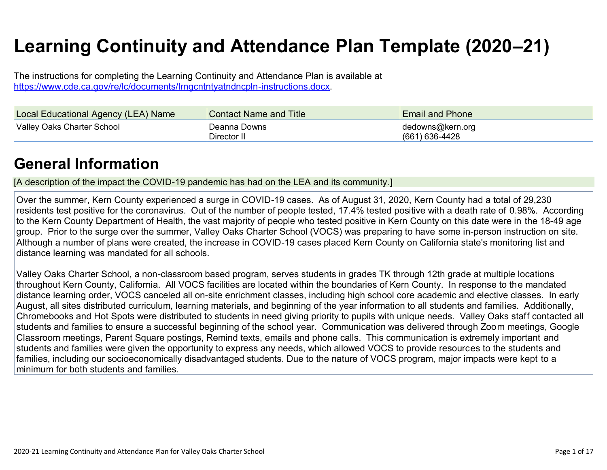# **Learning Continuity and Attendance Plan Template (2020–21)**

The instructions for completing the Learning Continuity and Attendance Plan is available at [https://www.cde.ca.gov/re/lc/documents/lrngcntntyatndncpln-instructions.docx.](https://www.cde.ca.gov/re/lc/documents/lrngcntntyatndncpln-instructions.docx)

| <b>Local Educational Agency (LEA) Name</b> | <b>Contact Name and Title</b> | <b>Email and Phone</b>               |
|--------------------------------------------|-------------------------------|--------------------------------------|
| Valley Oaks Charter School                 | Deanna Downs<br>Director II   | dedowns@kern.org<br>$(661)$ 636-4428 |

### **[General Information](http://www.doc-tracking.com/screenshots/20LCP/Instructions/20LCPInstructions.htm#generalinformation)**

[A description of the impact the COVID-19 pandemic has had on the LEA and its community.]

Over the summer, Kern County experienced a surge in COVID-19 cases. As of August 31, 2020, Kern County had a total of 29,230 residents test positive for the coronavirus. Out of the number of people tested, 17.4% tested positive with a death rate of 0.98%. According to the Kern County Department of Health, the vast majority of people who tested positive in Kern County on this date were in the 18-49 age group. Prior to the surge over the summer, Valley Oaks Charter School (VOCS) was preparing to have some in-person instruction on site. Although a number of plans were created, the increase in COVID-19 cases placed Kern County on California state's monitoring list and distance learning was mandated for all schools.

Valley Oaks Charter School, a non-classroom based program, serves students in grades TK through 12th grade at multiple locations throughout Kern County, California. All VOCS facilities are located within the boundaries of Kern County. In response to the mandated distance learning order, VOCS canceled all on-site enrichment classes, including high school core academic and elective classes. In early August, all sites distributed curriculum, learning materials, and beginning of the year information to all students and families. Additionally, Chromebooks and Hot Spots were distributed to students in need giving priority to pupils with unique needs. Valley Oaks staff contacted all students and families to ensure a successful beginning of the school year. Communication was delivered through Zoom meetings, Google Classroom meetings, Parent Square postings, Remind texts, emails and phone calls. This communication is extremely important and students and families were given the opportunity to express any needs, which allowed VOCS to provide resources to the students and families, including our socioeconomically disadvantaged students. Due to the nature of VOCS program, major impacts were kept to a minimum for both students and families.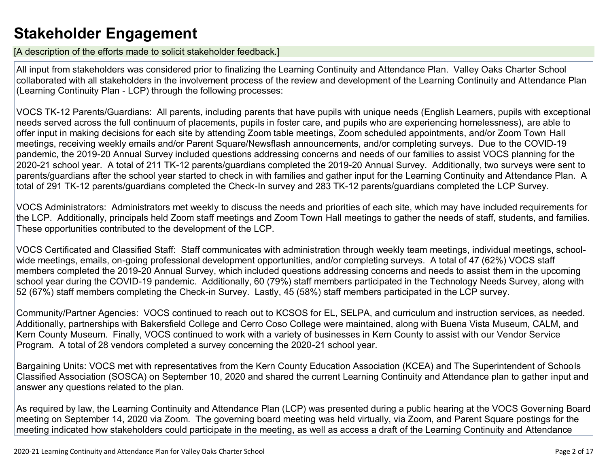### **[Stakeholder Engagement](http://www.doc-tracking.com/screenshots/20LCP/Instructions/20LCPInstructions.htm#stakeholderengagement)**

[A description of the efforts made to solicit stakeholder feedback.]

All input from stakeholders was considered prior to finalizing the Learning Continuity and Attendance Plan. Valley Oaks Charter School collaborated with all stakeholders in the involvement process of the review and development of the Learning Continuity and Attendance Plan (Learning Continuity Plan - LCP) through the following processes:

VOCS TK-12 Parents/Guardians: All parents, including parents that have pupils with unique needs (English Learners, pupils with exceptional needs served across the full continuum of placements, pupils in foster care, and pupils who are experiencing homelessness), are able to offer input in making decisions for each site by attending Zoom table meetings, Zoom scheduled appointments, and/or Zoom Town Hall meetings, receiving weekly emails and/or Parent Square/Newsflash announcements, and/or completing surveys. Due to the COVID-19 pandemic, the 2019-20 Annual Survey included questions addressing concerns and needs of our families to assist VOCS planning for the 2020-21 school year. A total of 211 TK-12 parents/guardians completed the 2019-20 Annual Survey. Additionally, two surveys were sent to parents/guardians after the school year started to check in with families and gather input for the Learning Continuity and Attendance Plan. A total of 291 TK-12 parents/guardians completed the Check-In survey and 283 TK-12 parents/guardians completed the LCP Survey.

VOCS Administrators: Administrators met weekly to discuss the needs and priorities of each site, which may have included requirements for the LCP. Additionally, principals held Zoom staff meetings and Zoom Town Hall meetings to gather the needs of staff, students, and families. These opportunities contributed to the development of the LCP.

VOCS Certificated and Classified Staff: Staff communicates with administration through weekly team meetings, individual meetings, schoolwide meetings, emails, on-going professional development opportunities, and/or completing surveys. A total of 47 (62%) VOCS staff members completed the 2019-20 Annual Survey, which included questions addressing concerns and needs to assist them in the upcoming school year during the COVID-19 pandemic. Additionally, 60 (79%) staff members participated in the Technology Needs Survey, along with 52 (67%) staff members completing the Check-in Survey. Lastly, 45 (58%) staff members participated in the LCP survey.

Community/Partner Agencies: VOCS continued to reach out to KCSOS for EL, SELPA, and curriculum and instruction services, as needed. Additionally, partnerships with Bakersfield College and Cerro Coso College were maintained, along with Buena Vista Museum, CALM, and Kern County Museum. Finally, VOCS continued to work with a variety of businesses in Kern County to assist with our Vendor Service Program. A total of 28 vendors completed a survey concerning the 2020-21 school year.

Bargaining Units: VOCS met with representatives from the Kern County Education Association (KCEA) and The Superintendent of Schools Classified Association (SOSCA) on September 10, 2020 and shared the current Learning Continuity and Attendance plan to gather input and answer any questions related to the plan.

As required by law, the Learning Continuity and Attendance Plan (LCP) was presented during a public hearing at the VOCS Governing Board meeting on September 14, 2020 via Zoom. The governing board meeting was held virtually, via Zoom, and Parent Square postings for the meeting indicated how stakeholders could participate in the meeting, as well as access a draft of the Learning Continuity and Attendance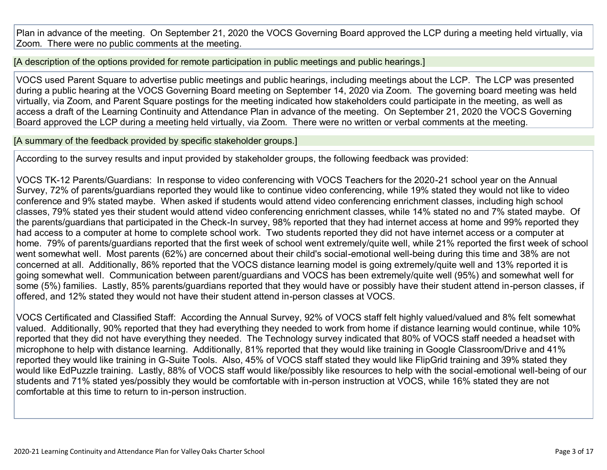Plan in advance of the meeting. On September 21, 2020 the VOCS Governing Board approved the LCP during a meeting held virtually, via Zoom. There were no public comments at the meeting.

[A description of the options provided for remote participation in public meetings and public hearings.]

VOCS used Parent Square to advertise public meetings and public hearings, including meetings about the LCP. The LCP was presented during a public hearing at the VOCS Governing Board meeting on September 14, 2020 via Zoom. The governing board meeting was held virtually, via Zoom, and Parent Square postings for the meeting indicated how stakeholders could participate in the meeting, as well as access a draft of the Learning Continuity and Attendance Plan in advance of the meeting. On September 21, 2020 the VOCS Governing Board approved the LCP during a meeting held virtually, via Zoom. There were no written or verbal comments at the meeting.

[A summary of the feedback provided by specific stakeholder groups.]

According to the survey results and input provided by stakeholder groups, the following feedback was provided:

VOCS TK-12 Parents/Guardians: In response to video conferencing with VOCS Teachers for the 2020-21 school year on the Annual Survey, 72% of parents/guardians reported they would like to continue video conferencing, while 19% stated they would not like to video conference and 9% stated maybe. When asked if students would attend video conferencing enrichment classes, including high school classes, 79% stated yes their student would attend video conferencing enrichment classes, while 14% stated no and 7% stated maybe. Of the parents/guardians that participated in the Check-In survey, 98% reported that they had internet access at home and 99% reported they had access to a computer at home to complete school work. Two students reported they did not have internet access or a computer at home. 79% of parents/guardians reported that the first week of school went extremely/quite well, while 21% reported the first week of school went somewhat well. Most parents (62%) are concerned about their child's social-emotional well-being during this time and 38% are not concerned at all. Additionally, 86% reported that the VOCS distance learning model is going extremely/quite well and 13% reported it is going somewhat well. Communication between parent/guardians and VOCS has been extremely/quite well (95%) and somewhat well for some (5%) families. Lastly, 85% parents/guardians reported that they would have or possibly have their student attend in-person classes, if offered, and 12% stated they would not have their student attend in-person classes at VOCS.

VOCS Certificated and Classified Staff: According the Annual Survey, 92% of VOCS staff felt highly valued/valued and 8% felt somewhat valued. Additionally, 90% reported that they had everything they needed to work from home if distance learning would continue, while 10% reported that they did not have everything they needed. The Technology survey indicated that 80% of VOCS staff needed a headset with microphone to help with distance learning. Additionally, 81% reported that they would like training in Google Classroom/Drive and 41% reported they would like training in G-Suite Tools. Also, 45% of VOCS staff stated they would like FlipGrid training and 39% stated they would like EdPuzzle training. Lastly, 88% of VOCS staff would like/possibly like resources to help with the social-emotional well-being of our students and 71% stated yes/possibly they would be comfortable with in-person instruction at VOCS, while 16% stated they are not comfortable at this time to return to in-person instruction.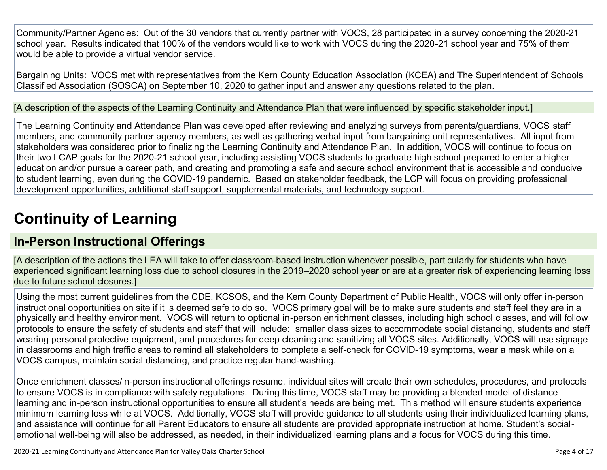Community/Partner Agencies: Out of the 30 vendors that currently partner with VOCS, 28 participated in a survey concerning the 2020-21 school year. Results indicated that 100% of the vendors would like to work with VOCS during the 2020-21 school year and 75% of them would be able to provide a virtual vendor service.

Bargaining Units: VOCS met with representatives from the Kern County Education Association (KCEA) and The Superintendent of Schools Classified Association (SOSCA) on September 10, 2020 to gather input and answer any questions related to the plan.

[A description of the aspects of the Learning Continuity and Attendance Plan that were influenced by specific stakeholder input.]

The Learning Continuity and Attendance Plan was developed after reviewing and analyzing surveys from parents/guardians, VOCS staff members, and community partner agency members, as well as gathering verbal input from bargaining unit representatives. All input from stakeholders was considered prior to finalizing the Learning Continuity and Attendance Plan. In addition, VOCS will continue to focus on their two LCAP goals for the 2020-21 school year, including assisting VOCS students to graduate high school prepared to enter a higher education and/or pursue a career path, and creating and promoting a safe and secure school environment that is accessible and conducive to student learning, even during the COVID-19 pandemic. Based on stakeholder feedback, the LCP will focus on providing professional development opportunities, additional staff support, supplemental materials, and technology support.

# **[Continuity of Learning](http://www.doc-tracking.com/screenshots/20LCP/Instructions/20LCPInstructions.htm#ContinuityofLearning)**

### **[In-Person Instructional Offerings](http://www.doc-tracking.com/screenshots/20LCP/Instructions/20LCPInstructions.htm#ContinuityofLearning1)**

[A description of the actions the LEA will take to offer classroom-based instruction whenever possible, particularly for students who have experienced significant learning loss due to school closures in the 2019–2020 school year or are at a greater risk of experiencing learning loss due to future school closures.]

Using the most current guidelines from the CDE, KCSOS, and the Kern County Department of Public Health, VOCS will only offer in-person instructional opportunities on site if it is deemed safe to do so. VOCS primary goal will be to make sure students and staff feel they are in a physically and healthy environment. VOCS will return to optional in-person enrichment classes, including high school classes, and will follow protocols to ensure the safety of students and staff that will include: smaller class sizes to accommodate social distancing, students and staff wearing personal protective equipment, and procedures for deep cleaning and sanitizing all VOCS sites. Additionally, VOCS will use signage in classrooms and high traffic areas to remind all stakeholders to complete a self-check for COVID-19 symptoms, wear a mask while on a VOCS campus, maintain social distancing, and practice regular hand-washing.

Once enrichment classes/in-person instructional offerings resume, individual sites will create their own schedules, procedures, and protocols to ensure VOCS is in compliance with safety regulations. During this time, VOCS staff may be providing a blended model of distance learning and in-person instructional opportunities to ensure all student's needs are being met. This method will ensure students experience minimum learning loss while at VOCS. Additionally, VOCS staff will provide guidance to all students using their individualized learning plans, and assistance will continue for all Parent Educators to ensure all students are provided appropriate instruction at home. Student's socialemotional well-being will also be addressed, as needed, in their individualized learning plans and a focus for VOCS during this time.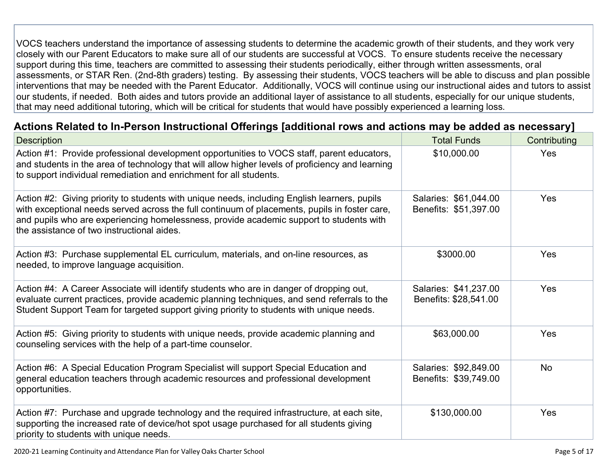VOCS teachers understand the importance of assessing students to determine the academic growth of their students, and they work very closely with our Parent Educators to make sure all of our students are successful at VOCS. To ensure students receive the necessary support during this time, teachers are committed to assessing their students periodically, either through written assessments, oral assessments, or STAR Ren. (2nd-8th graders) testing. By assessing their students, VOCS teachers will be able to discuss and plan possible interventions that may be needed with the Parent Educator. Additionally, VOCS will continue using our instructional aides and tutors to assist our students, if needed. Both aides and tutors provide an additional layer of assistance to all students, especially for our unique students, that may need additional tutoring, which will be critical for students that would have possibly experienced a learning loss.

#### **[Actions Related to In-Person Instructional Offerings \[additional rows and actions may be added as necessary\]](http://www.doc-tracking.com/screenshots/20LCP/Instructions/20LCPInstructions.htm#ContinuityofLearning2)**

| <b>Description</b>                                                                                                                                                                                                                                                                                                                     | <b>Total Funds</b>                             | Contributing |
|----------------------------------------------------------------------------------------------------------------------------------------------------------------------------------------------------------------------------------------------------------------------------------------------------------------------------------------|------------------------------------------------|--------------|
| Action #1: Provide professional development opportunities to VOCS staff, parent educators,<br>and students in the area of technology that will allow higher levels of proficiency and learning<br>to support individual remediation and enrichment for all students.                                                                   | \$10,000.00                                    | Yes          |
| Action #2: Giving priority to students with unique needs, including English learners, pupils<br>with exceptional needs served across the full continuum of placements, pupils in foster care,<br>and pupils who are experiencing homelessness, provide academic support to students with<br>the assistance of two instructional aides. | Salaries: \$61,044.00<br>Benefits: \$51,397.00 | Yes          |
| Action #3: Purchase supplemental EL curriculum, materials, and on-line resources, as<br>needed, to improve language acquisition.                                                                                                                                                                                                       | \$3000.00                                      | Yes          |
| Action #4: A Career Associate will identify students who are in danger of dropping out,<br>evaluate current practices, provide academic planning techniques, and send referrals to the<br>Student Support Team for targeted support giving priority to students with unique needs.                                                     | Salaries: \$41,237.00<br>Benefits: \$28,541.00 | Yes          |
| Action #5: Giving priority to students with unique needs, provide academic planning and<br>counseling services with the help of a part-time counselor.                                                                                                                                                                                 | \$63,000.00                                    | Yes          |
| Action #6: A Special Education Program Specialist will support Special Education and<br>general education teachers through academic resources and professional development<br>opportunities.                                                                                                                                           | Salaries: \$92,849.00<br>Benefits: \$39,749.00 | No           |
| Action #7: Purchase and upgrade technology and the required infrastructure, at each site,<br>supporting the increased rate of device/hot spot usage purchased for all students giving<br>priority to students with unique needs.                                                                                                       | \$130,000.00                                   | Yes          |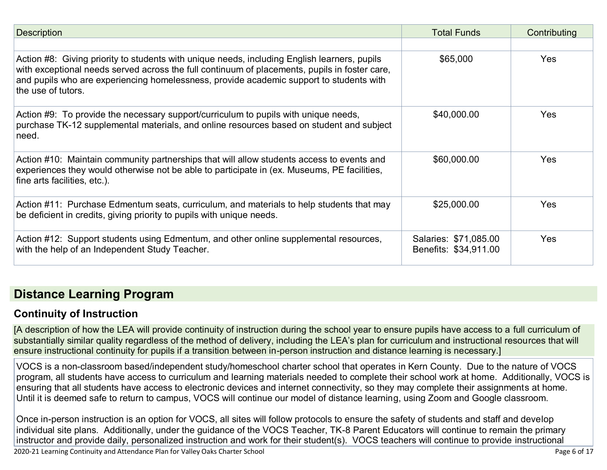| <b>Description</b>                                                                                                                                                                                                                                                                                             | <b>Total Funds</b>                             | Contributing |
|----------------------------------------------------------------------------------------------------------------------------------------------------------------------------------------------------------------------------------------------------------------------------------------------------------------|------------------------------------------------|--------------|
|                                                                                                                                                                                                                                                                                                                |                                                |              |
| Action #8: Giving priority to students with unique needs, including English learners, pupils<br>with exceptional needs served across the full continuum of placements, pupils in foster care,<br>and pupils who are experiencing homelessness, provide academic support to students with<br>the use of tutors. | \$65,000                                       | Yes          |
| Action #9: To provide the necessary support/curriculum to pupils with unique needs,<br>purchase TK-12 supplemental materials, and online resources based on student and subject<br>need.                                                                                                                       | \$40,000.00                                    | <b>Yes</b>   |
| Action #10: Maintain community partnerships that will allow students access to events and<br>experiences they would otherwise not be able to participate in (ex. Museums, PE facilities,<br>fine arts facilities, etc.).                                                                                       | \$60,000.00                                    | <b>Yes</b>   |
| Action #11: Purchase Edmentum seats, curriculum, and materials to help students that may<br>be deficient in credits, giving priority to pupils with unique needs.                                                                                                                                              | \$25,000.00                                    | <b>Yes</b>   |
| Action #12: Support students using Edmentum, and other online supplemental resources,<br>with the help of an Independent Study Teacher.                                                                                                                                                                        | Salaries: \$71,085.00<br>Benefits: \$34,911.00 | <b>Yes</b>   |

### **[Distance Learning Program](http://www.doc-tracking.com/screenshots/20LCP/Instructions/20LCPInstructions.htm#DistanceLearningProgram)**

#### **[Continuity of Instruction](http://www.doc-tracking.com/screenshots/20LCP/Instructions/20LCPInstructions.htm#DistanceLearningProgram1)**

[A description of how the LEA will provide continuity of instruction during the school year to ensure pupils have access to a full curriculum of substantially similar quality regardless of the method of delivery, including the LEA's plan for curriculum and instructional resources that will ensure instructional continuity for pupils if a transition between in-person instruction and distance learning is necessary.]

VOCS is a non-classroom based/independent study/homeschool charter school that operates in Kern County. Due to the nature of VOCS program, all students have access to curriculum and learning materials needed to complete their school work at home. Additionally, VOCS is ensuring that all students have access to electronic devices and internet connectivity, so they may complete their assignments at home. Until it is deemed safe to return to campus, VOCS will continue our model of distance learning, using Zoom and Google classroom.

Once in-person instruction is an option for VOCS, all sites will follow protocols to ensure the safety of students and staff and develop individual site plans. Additionally, under the guidance of the VOCS Teacher, TK-8 Parent Educators will continue to remain the primary instructor and provide daily, personalized instruction and work for their student(s). VOCS teachers will continue to provide instructional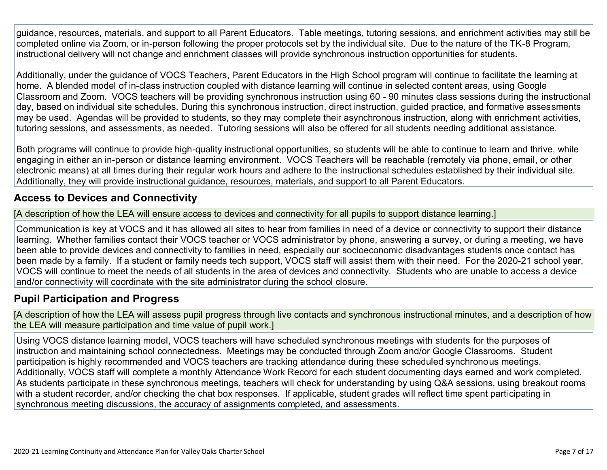guidance, resources, materials, and support to all Parent Educators. Table meetings, tutoring sessions, and enrichment activities may still be completed online via Zoom, or in-person following the proper protocols set by the individual site. Due to the nature of the TK-8 Program, instructional delivery will not change and enrichment classes will provide synchronous instruction opportunities for students.

Additionally, under the guidance of VOCS Teachers, Parent Educators in the High School program will continue to facilitate the learning at home. A blended model of in-class instruction coupled with distance learning will continue in selected content areas, using Google Classroom and Zoom. VOCS teachers will be providing synchronous instruction using 60 - 90 minutes class sessions during the instructional day, based on individual site schedules. During this synchronous instruction, direct instruction, guided practice, and formative assessments may be used. Agendas will be provided to students, so they may complete their asynchronous instruction, along with enrichment activities, tutoring sessions, and assessments, as needed. Tutoring sessions will also be offered for all students needing additional assistance.

Both programs will continue to provide high-quality instructional opportunities, so students will be able to continue to learn and thrive, while engaging in either an in-person or distance learning environment. VOCS Teachers will be reachable (remotely via phone, email, or other electronic means) at all times during their regular work hours and adhere to the instructional schedules established by their individual site. Additionally, they will provide instructional guidance, resources, materials, and support to all Parent Educators.

#### **[Access to Devices and Connectivity](http://www.doc-tracking.com/screenshots/20LCP/Instructions/20LCPInstructions.htm#DistanceLearningProgram2)**

[A description of how the LEA will ensure access to devices and connectivity for all pupils to support distance learning.]

Communication is key at VOCS and it has allowed all sites to hear from families in need of a device or connectivity to support their distance learning. Whether families contact their VOCS teacher or VOCS administrator by phone, answering a survey, or during a meeting, we have been able to provide devices and connectivity to families in need, especially our socioeconomic disadvantages students once contact has been made by a family. If a student or family needs tech support, VOCS staff will assist them with their need. For the 2020-21 school year, VOCS will continue to meet the needs of all students in the area of devices and connectivity. Students who are unable to access a device and/or connectivity will coordinate with the site administrator during the school closure.

#### **[Pupil Participation and Progress](http://www.doc-tracking.com/screenshots/20LCP/Instructions/20LCPInstructions.htm#DistanceLearningProgram3)**

[A description of how the LEA will assess pupil progress through live contacts and synchronous instructional minutes, and a description of how the LEA will measure participation and time value of pupil work.]

Using VOCS distance learning model, VOCS teachers will have scheduled synchronous meetings with students for the purposes of instruction and maintaining school connectedness. Meetings may be conducted through Zoom and/or Google Classrooms. Student participation is highly recommended and VOCS teachers are tracking attendance during these scheduled synchronous meetings. Additionally, VOCS staff will complete a monthly Attendance Work Record for each student documenting days earned and work completed. As students participate in these synchronous meetings, teachers will check for understanding by using Q&A sessions, using breakout rooms with a student recorder, and/or checking the chat box responses. If applicable, student grades will reflect time spent participating in synchronous meeting discussions, the accuracy of assignments completed, and assessments.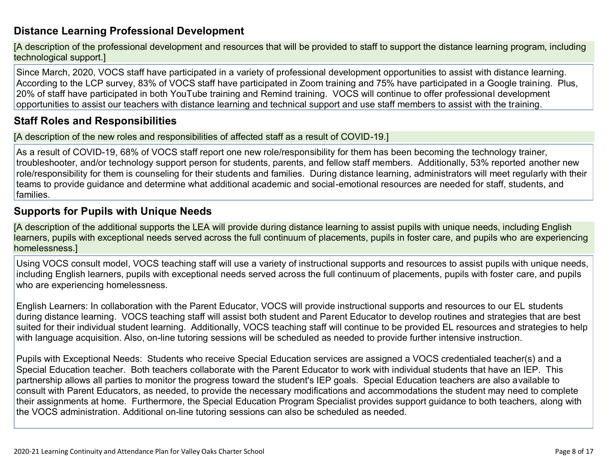#### **[Distance Learning Professional Development](http://www.doc-tracking.com/screenshots/20LCP/Instructions/20LCPInstructions.htm#DistanceLearningProgram4)**

[A description of the professional development and resources that will be provided to staff to support the distance learning program, including technological support.]

Since March, 2020, VOCS staff have participated in a variety of professional development opportunities to assist with distance learning. According to the LCP survey, 83% of VOCS staff have participated in Zoom training and 75% have participated in a Google training. Plus, 20% of staff have participated in both YouTube training and Remind training. VOCS will continue to offer professional development opportunities to assist our teachers with distance learning and technical support and use staff members to assist with the training.

#### **[Staff Roles and Responsibilities](http://www.doc-tracking.com/screenshots/20LCP/Instructions/20LCPInstructions.htm#DistanceLearningProgram5)**

[A description of the new roles and responsibilities of affected staff as a result of COVID-19.]

As a result of COVID-19, 68% of VOCS staff report one new role/responsibility for them has been becoming the technology trainer, troubleshooter, and/or technology support person for students, parents, and fellow staff members. Additionally, 53% reported another new role/responsibility for them is counseling for their students and families. During distance learning, administrators will meet regularly with their teams to provide guidance and determine what additional academic and social-emotional resources are needed for staff, students, and families.

#### **[Supports for Pupils with Unique Needs](http://www.doc-tracking.com/screenshots/20LCP/Instructions/20LCPInstructions.htm#DistanceLearningProgram6)**

[A description of the additional supports the LEA will provide during distance learning to assist pupils with unique needs, including English learners, pupils with exceptional needs served across the full continuum of placements, pupils in foster care, and pupils who are experiencing homelessness.]

Using VOCS consult model, VOCS teaching staff will use a variety of instructional supports and resources to assist pupils with unique needs, including English learners, pupils with exceptional needs served across the full continuum of placements, pupils with foster care, and pupils who are experiencing homelessness.

English Learners: In collaboration with the Parent Educator, VOCS will provide instructional supports and resources to our EL students during distance learning. VOCS teaching staff will assist both student and Parent Educator to develop routines and strategies that are best suited for their individual student learning. Additionally, VOCS teaching staff will continue to be provided EL resources and strategies to help with language acquisition. Also, on-line tutoring sessions will be scheduled as needed to provide further intensive instruction.

Pupils with Exceptional Needs: Students who receive Special Education services are assigned a VOCS credentialed teacher(s) and a Special Education teacher. Both teachers collaborate with the Parent Educator to work with individual students that have an IEP. This partnership allows all parties to monitor the progress toward the student's IEP goals. Special Education teachers are also available to consult with Parent Educators, as needed, to provide the necessary modifications and accommodations the student may need to complete their assignments at home. Furthermore, the Special Education Program Specialist provides support guidance to both teachers, along with the VOCS administration. Additional on-line tutoring sessions can also be scheduled as needed.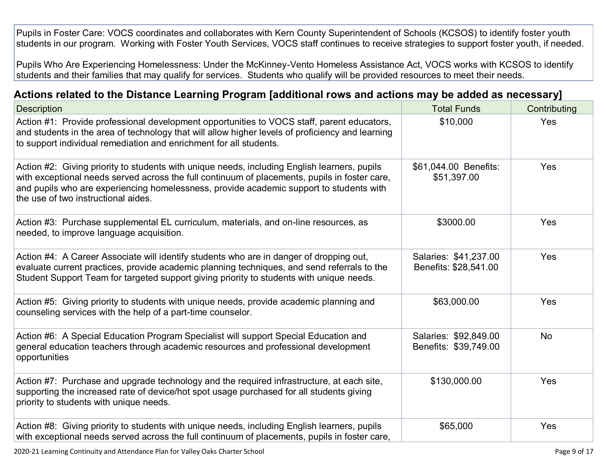Pupils in Foster Care: VOCS coordinates and collaborates with Kern County Superintendent of Schools (KCSOS) to identify foster youth students in our program. Working with Foster Youth Services, VOCS staff continues to receive strategies to support foster youth, if needed.

Pupils Who Are Experiencing Homelessness: Under the McKinney-Vento Homeless Assistance Act, VOCS works with KCSOS to identify students and their families that may qualify for services. Students who qualify will be provided resources to meet their needs.

#### **[Actions related to the Distance Learning Program \[additional rows and actions may be added as necessary\]](http://www.doc-tracking.com/screenshots/20LCP/Instructions/20LCPInstructions.htm#DistanceLearningProgram7)**

| <b>Description</b>                                                                                                                                                                                                                                                                                                              | <b>Total Funds</b>                             | Contributing |
|---------------------------------------------------------------------------------------------------------------------------------------------------------------------------------------------------------------------------------------------------------------------------------------------------------------------------------|------------------------------------------------|--------------|
| Action #1: Provide professional development opportunities to VOCS staff, parent educators,<br>and students in the area of technology that will allow higher levels of proficiency and learning<br>to support individual remediation and enrichment for all students.                                                            | \$10,000                                       | Yes          |
| Action #2: Giving priority to students with unique needs, including English learners, pupils<br>with exceptional needs served across the full continuum of placements, pupils in foster care,<br>and pupils who are experiencing homelessness, provide academic support to students with<br>the use of two instructional aides. | \$61,044.00 Benefits:<br>\$51,397.00           | Yes          |
| Action #3: Purchase supplemental EL curriculum, materials, and on-line resources, as<br>needed, to improve language acquisition.                                                                                                                                                                                                | \$3000.00                                      | Yes          |
| Action #4: A Career Associate will identify students who are in danger of dropping out,<br>evaluate current practices, provide academic planning techniques, and send referrals to the<br>Student Support Team for targeted support giving priority to students with unique needs.                                              | Salaries: \$41,237.00<br>Benefits: \$28,541.00 | Yes          |
| Action #5: Giving priority to students with unique needs, provide academic planning and<br>counseling services with the help of a part-time counselor.                                                                                                                                                                          | \$63,000.00                                    | Yes          |
| Action #6: A Special Education Program Specialist will support Special Education and<br>general education teachers through academic resources and professional development<br>opportunities                                                                                                                                     | Salaries: \$92,849.00<br>Benefits: \$39,749.00 | <b>No</b>    |
| Action #7: Purchase and upgrade technology and the required infrastructure, at each site,<br>supporting the increased rate of device/hot spot usage purchased for all students giving<br>priority to students with unique needs.                                                                                                | \$130,000.00                                   | Yes          |
| Action #8: Giving priority to students with unique needs, including English learners, pupils<br>with exceptional needs served across the full continuum of placements, pupils in foster care,                                                                                                                                   | \$65,000                                       | Yes          |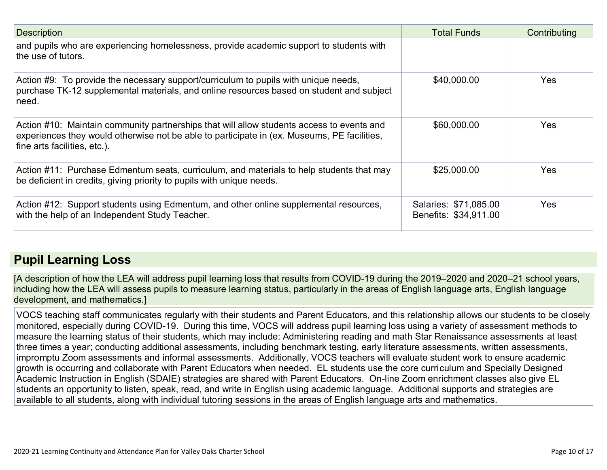| <b>Description</b>                                                                                                                                                                                                       | <b>Total Funds</b>                             | Contributing |
|--------------------------------------------------------------------------------------------------------------------------------------------------------------------------------------------------------------------------|------------------------------------------------|--------------|
| and pupils who are experiencing homelessness, provide academic support to students with<br>the use of tutors.                                                                                                            |                                                |              |
| Action #9: To provide the necessary support/curriculum to pupils with unique needs,<br>purchase TK-12 supplemental materials, and online resources based on student and subject<br>need.                                 | \$40,000.00                                    | <b>Yes</b>   |
| Action #10: Maintain community partnerships that will allow students access to events and<br>experiences they would otherwise not be able to participate in (ex. Museums, PE facilities,<br>fine arts facilities, etc.). | \$60,000.00                                    | Yes          |
| Action #11: Purchase Edmentum seats, curriculum, and materials to help students that may<br>be deficient in credits, giving priority to pupils with unique needs.                                                        | \$25,000.00                                    | Yes          |
| Action #12: Support students using Edmentum, and other online supplemental resources,<br>with the help of an Independent Study Teacher.                                                                                  | Salaries: \$71,085.00<br>Benefits: \$34,911.00 | Yes          |

### **[Pupil Learning Loss](http://www.doc-tracking.com/screenshots/20LCP/Instructions/20LCPInstructions.htm#PupilLearningLoss)**

[A description of how the LEA will address pupil learning loss that results from COVID-19 during the 2019–2020 and 2020–21 school years, including how the LEA will assess pupils to measure learning status, particularly in the areas of English language arts, English language development, and mathematics.]

VOCS teaching staff communicates regularly with their students and Parent Educators, and this relationship allows our students to be closely monitored, especially during COVID-19. During this time, VOCS will address pupil learning loss using a variety of assessment methods to measure the learning status of their students, which may include: Administering reading and math Star Renaissance assessments at least three times a year; conducting additional assessments, including benchmark testing, early literature assessments, written assessments, impromptu Zoom assessments and informal assessments. Additionally, VOCS teachers will evaluate student work to ensure academic growth is occurring and collaborate with Parent Educators when needed. EL students use the core curriculum and Specially Designed Academic Instruction in English (SDAIE) strategies are shared with Parent Educators. On-line Zoom enrichment classes also give EL students an opportunity to listen, speak, read, and write in English using academic language. Additional supports and strategies are available to all students, along with individual tutoring sessions in the areas of English language arts and mathematics.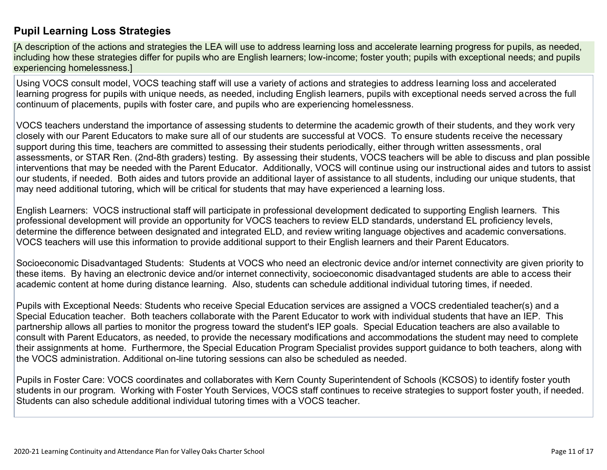#### **[Pupil Learning Loss Strategies](http://www.doc-tracking.com/screenshots/20LCP/Instructions/20LCPInstructions.htm#PupilLearningLoss1)**

[A description of the actions and strategies the LEA will use to address learning loss and accelerate learning progress for pupils, as needed, including how these strategies differ for pupils who are English learners; low-income; foster youth; pupils with exceptional needs; and pupils experiencing homelessness.]

Using VOCS consult model, VOCS teaching staff will use a variety of actions and strategies to address learning loss and accelerated learning progress for pupils with unique needs, as needed, including English learners, pupils with exceptional needs served across the full continuum of placements, pupils with foster care, and pupils who are experiencing homelessness.

VOCS teachers understand the importance of assessing students to determine the academic growth of their students, and they work very closely with our Parent Educators to make sure all of our students are successful at VOCS. To ensure students receive the necessary support during this time, teachers are committed to assessing their students periodically, either through written assessments, oral assessments, or STAR Ren. (2nd-8th graders) testing. By assessing their students, VOCS teachers will be able to discuss and plan possible interventions that may be needed with the Parent Educator. Additionally, VOCS will continue using our instructional aides and tutors to assist our students, if needed. Both aides and tutors provide an additional layer of assistance to all students, including our unique students, that may need additional tutoring, which will be critical for students that may have experienced a learning loss.

English Learners: VOCS instructional staff will participate in professional development dedicated to supporting English learners. This professional development will provide an opportunity for VOCS teachers to review ELD standards, understand EL proficiency levels, determine the difference between designated and integrated ELD, and review writing language objectives and academic conversations. VOCS teachers will use this information to provide additional support to their English learners and their Parent Educators.

Socioeconomic Disadvantaged Students: Students at VOCS who need an electronic device and/or internet connectivity are given priority to these items. By having an electronic device and/or internet connectivity, socioeconomic disadvantaged students are able to access their academic content at home during distance learning. Also, students can schedule additional individual tutoring times, if needed.

Pupils with Exceptional Needs: Students who receive Special Education services are assigned a VOCS credentialed teacher(s) and a Special Education teacher. Both teachers collaborate with the Parent Educator to work with individual students that have an IEP. This partnership allows all parties to monitor the progress toward the student's IEP goals. Special Education teachers are also available to consult with Parent Educators, as needed, to provide the necessary modifications and accommodations the student may need to complete their assignments at home. Furthermore, the Special Education Program Specialist provides support guidance to both teachers, along with the VOCS administration. Additional on-line tutoring sessions can also be scheduled as needed.

Pupils in Foster Care: VOCS coordinates and collaborates with Kern County Superintendent of Schools (KCSOS) to identify foster youth students in our program. Working with Foster Youth Services, VOCS staff continues to receive strategies to support foster youth, if needed. Students can also schedule additional individual tutoring times with a VOCS teacher.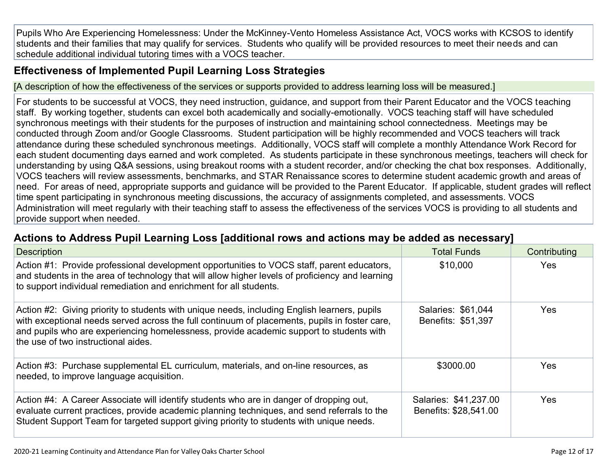Pupils Who Are Experiencing Homelessness: Under the McKinney-Vento Homeless Assistance Act, VOCS works with KCSOS to identify students and their families that may qualify for services. Students who qualify will be provided resources to meet their needs and can schedule additional individual tutoring times with a VOCS teacher.

#### **[Effectiveness of Implemented Pupil Learning Loss Strategies](http://www.doc-tracking.com/screenshots/20LCP/Instructions/20LCPInstructions.htm#PupilLearningLoss2)**

[A description of how the effectiveness of the services or supports provided to address learning loss will be measured.]

For students to be successful at VOCS, they need instruction, guidance, and support from their Parent Educator and the VOCS teaching staff. By working together, students can excel both academically and socially-emotionally. VOCS teaching staff will have scheduled synchronous meetings with their students for the purposes of instruction and maintaining school connectedness. Meetings may be conducted through Zoom and/or Google Classrooms. Student participation will be highly recommended and VOCS teachers will track attendance during these scheduled synchronous meetings. Additionally, VOCS staff will complete a monthly Attendance Work Record for each student documenting days earned and work completed. As students participate in these synchronous meetings, teachers will check for understanding by using Q&A sessions, using breakout rooms with a student recorder, and/or checking the chat box responses. Additionally, VOCS teachers will review assessments, benchmarks, and STAR Renaissance scores to determine student academic growth and areas of need. For areas of need, appropriate supports and guidance will be provided to the Parent Educator. If applicable, student grades will reflect time spent participating in synchronous meeting discussions, the accuracy of assignments completed, and assessments. VOCS Administration will meet regularly with their teaching staff to assess the effectiveness of the services VOCS is providing to all students and provide support when needed.

#### **[Actions to Address Pupil Learning Loss \[additional rows](http://www.doc-tracking.com/screenshots/20LCP/Instructions/20LCPInstructions.htm#PupilLearningLoss4) and actions may be added as necessary]**

| <b>Description</b>                                                                                                                                                                                                                                                                                                              | <b>Total Funds</b>                             | Contributing |
|---------------------------------------------------------------------------------------------------------------------------------------------------------------------------------------------------------------------------------------------------------------------------------------------------------------------------------|------------------------------------------------|--------------|
| Action #1: Provide professional development opportunities to VOCS staff, parent educators,<br>and students in the area of technology that will allow higher levels of proficiency and learning<br>to support individual remediation and enrichment for all students.                                                            | \$10,000                                       | <b>Yes</b>   |
| Action #2: Giving priority to students with unique needs, including English learners, pupils<br>with exceptional needs served across the full continuum of placements, pupils in foster care,<br>and pupils who are experiencing homelessness, provide academic support to students with<br>the use of two instructional aides. | Salaries: \$61,044<br>Benefits: \$51,397       | <b>Yes</b>   |
| Action #3: Purchase supplemental EL curriculum, materials, and on-line resources, as<br>needed, to improve language acquisition.                                                                                                                                                                                                | \$3000.00                                      | <b>Yes</b>   |
| Action #4: A Career Associate will identify students who are in danger of dropping out,<br>evaluate current practices, provide academic planning techniques, and send referrals to the<br>Student Support Team for targeted support giving priority to students with unique needs.                                              | Salaries: \$41,237.00<br>Benefits: \$28,541.00 | <b>Yes</b>   |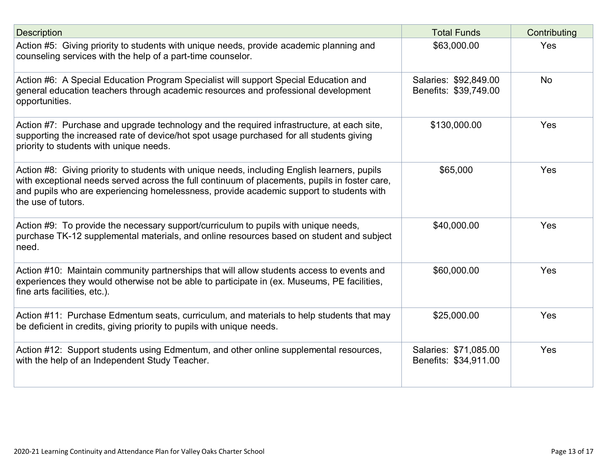| <b>Description</b>                                                                                                                                                                                                                                                                                             | <b>Total Funds</b>                             | Contributing |
|----------------------------------------------------------------------------------------------------------------------------------------------------------------------------------------------------------------------------------------------------------------------------------------------------------------|------------------------------------------------|--------------|
| Action #5: Giving priority to students with unique needs, provide academic planning and<br>counseling services with the help of a part-time counselor.                                                                                                                                                         | \$63,000.00                                    | Yes          |
| Action #6: A Special Education Program Specialist will support Special Education and<br>general education teachers through academic resources and professional development<br>opportunities.                                                                                                                   | Salaries: \$92,849.00<br>Benefits: \$39,749.00 | <b>No</b>    |
| Action #7: Purchase and upgrade technology and the required infrastructure, at each site,<br>supporting the increased rate of device/hot spot usage purchased for all students giving<br>priority to students with unique needs.                                                                               | \$130,000.00                                   | Yes          |
| Action #8: Giving priority to students with unique needs, including English learners, pupils<br>with exceptional needs served across the full continuum of placements, pupils in foster care,<br>and pupils who are experiencing homelessness, provide academic support to students with<br>the use of tutors. | \$65,000                                       | Yes          |
| Action #9: To provide the necessary support/curriculum to pupils with unique needs,<br>purchase TK-12 supplemental materials, and online resources based on student and subject<br>need.                                                                                                                       | \$40,000.00                                    | Yes          |
| Action #10: Maintain community partnerships that will allow students access to events and<br>experiences they would otherwise not be able to participate in (ex. Museums, PE facilities,<br>fine arts facilities, etc.).                                                                                       | \$60,000.00                                    | Yes          |
| Action #11: Purchase Edmentum seats, curriculum, and materials to help students that may<br>be deficient in credits, giving priority to pupils with unique needs.                                                                                                                                              | \$25,000.00                                    | Yes          |
| Action #12: Support students using Edmentum, and other online supplemental resources,<br>with the help of an Independent Study Teacher.                                                                                                                                                                        | Salaries: \$71,085.00<br>Benefits: \$34,911.00 | Yes          |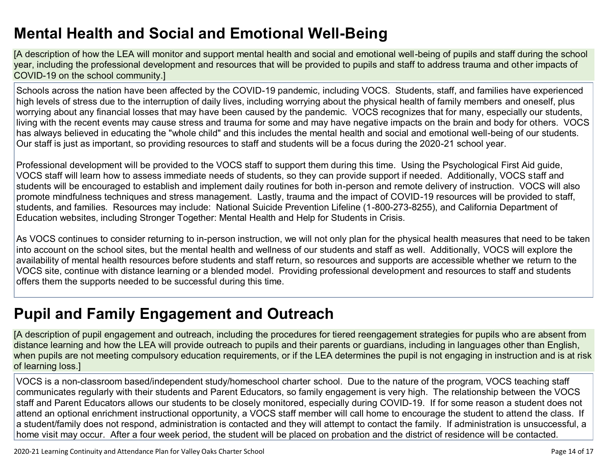# **[Mental Health and Social and Emotional Well-Being](http://www.doc-tracking.com/screenshots/20LCP/Instructions/20LCPInstructions.htm#MentalHealthandSocialandEmotional)**

[A description of how the LEA will monitor and support mental health and social and emotional well-being of pupils and staff during the school year, including the professional development and resources that will be provided to pupils and staff to address trauma and other impacts of COVID-19 on the school community.]

Schools across the nation have been affected by the COVID-19 pandemic, including VOCS. Students, staff, and families have experienced high levels of stress due to the interruption of daily lives, including worrying about the physical health of family members and oneself, plus worrying about any financial losses that may have been caused by the pandemic. VOCS recognizes that for many, especially our students, living with the recent events may cause stress and trauma for some and may have negative impacts on the brain and body for others. VOCS has always believed in educating the "whole child" and this includes the mental health and social and emotional well-being of our students. Our staff is just as important, so providing resources to staff and students will be a focus during the 2020-21 school year.

Professional development will be provided to the VOCS staff to support them during this time. Using the Psychological First Aid guide, VOCS staff will learn how to assess immediate needs of students, so they can provide support if needed. Additionally, VOCS staff and students will be encouraged to establish and implement daily routines for both in-person and remote delivery of instruction. VOCS will also promote mindfulness techniques and stress management. Lastly, trauma and the impact of COVID-19 resources will be provided to staff, students, and families. Resources may include: National Suicide Prevention Lifeline (1-800-273-8255), and California Department of Education websites, including Stronger Together: Mental Health and Help for Students in Crisis.

As VOCS continues to consider returning to in-person instruction, we will not only plan for the physical health measures that need to be taken into account on the school sites, but the mental health and wellness of our students and staff as well. Additionally, VOCS will explore the availability of mental health resources before students and staff return, so resources and supports are accessible whether we return to the VOCS site, continue with distance learning or a blended model. Providing professional development and resources to staff and students offers them the supports needed to be successful during this time.

# **[Pupil and Family Engagement and Outreach](http://www.doc-tracking.com/screenshots/20LCP/Instructions/20LCPInstructions.htm#PupilEngagementandOutreach)**

[A description of pupil engagement and outreach, including the procedures for tiered reengagement strategies for pupils who are absent from distance learning and how the LEA will provide outreach to pupils and their parents or guardians, including in languages other than English, when pupils are not meeting compulsory education requirements, or if the LEA determines the pupil is not engaging in instruction and is at risk of learning loss.]

VOCS is a non-classroom based/independent study/homeschool charter school. Due to the nature of the program, VOCS teaching staff communicates regularly with their students and Parent Educators, so family engagement is very high. The relationship between the VOCS staff and Parent Educators allows our students to be closely monitored, especially during COVID-19. If for some reason a student does not attend an optional enrichment instructional opportunity, a VOCS staff member will call home to encourage the student to attend the class. If a student/family does not respond, administration is contacted and they will attempt to contact the family. If administration is unsuccessful, a home visit may occur. After a four week period, the student will be placed on probation and the district of residence will be contacted.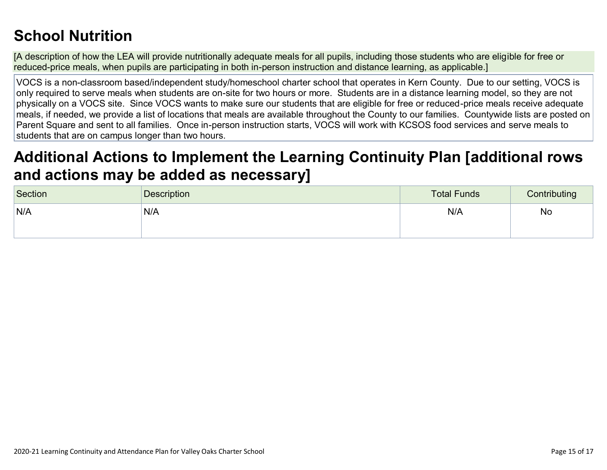# **[School Nutrition](http://www.doc-tracking.com/screenshots/20LCP/Instructions/20LCPInstructions.htm#SchoolNutrition)**

[A description of how the LEA will provide nutritionally adequate meals for all pupils, including those students who are eligible for free or reduced-price meals, when pupils are participating in both in-person instruction and distance learning, as applicable.]

VOCS is a non-classroom based/independent study/homeschool charter school that operates in Kern County. Due to our setting, VOCS is only required to serve meals when students are on-site for two hours or more. Students are in a distance learning model, so they are not physically on a VOCS site. Since VOCS wants to make sure our students that are eligible for free or reduced-price meals receive adequate meals, if needed, we provide a list of locations that meals are available throughout the County to our families. Countywide lists are posted on Parent Square and sent to all families. Once in-person instruction starts, VOCS will work with KCSOS food services and serve meals to students that are on campus longer than two hours.

### **[Additional Actions to Implement the Learning Continuity Plan \[additional rows](http://www.doc-tracking.com/screenshots/20LCP/Instructions/20LCPInstructions.htm#AdditionalActions)  [and actions may be added as necessary\]](http://www.doc-tracking.com/screenshots/20LCP/Instructions/20LCPInstructions.htm#AdditionalActions)**

| Section | Description | <b>Total Funds</b> | Contributing |
|---------|-------------|--------------------|--------------|
| N/A     | 'N/A        | N/A                | No           |
|         |             |                    |              |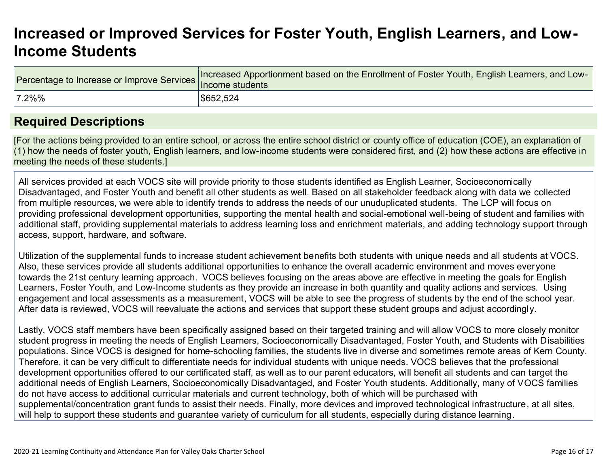### **[Increased or Improved Services for Foster Youth, English Learners, and Low-](http://www.doc-tracking.com/screenshots/20LCP/Instructions/20LCPInstructions.htm#IncreasedorImprovedServices)[Income Students](http://www.doc-tracking.com/screenshots/20LCP/Instructions/20LCPInstructions.htm#IncreasedorImprovedServices)**

| dercentage to Increase or Improve Services Increased by Presidents | Increased Apportionment based on the Enrollment of Foster Youth, English Learners, and Low- |
|--------------------------------------------------------------------|---------------------------------------------------------------------------------------------|
| $ 7.2\%%$                                                          | \$652,524                                                                                   |

### **[Required Descriptions](http://www.doc-tracking.com/screenshots/20LCP/Instructions/20LCPInstructions.htm#RequiredDescriptions)**

[For the actions being provided to an entire school, or across the entire school district or county office of education (COE), an explanation of (1) how the needs of foster youth, English learners, and low-income students were considered first, and (2) how these actions are effective in meeting the needs of these students.]

All services provided at each VOCS site will provide priority to those students identified as English Learner, Socioeconomically Disadvantaged, and Foster Youth and benefit all other students as well. Based on all stakeholder feedback along with data we collected from multiple resources, we were able to identify trends to address the needs of our unuduplicated students. The LCP will focus on providing professional development opportunities, supporting the mental health and social-emotional well-being of student and families with additional staff, providing supplemental materials to address learning loss and enrichment materials, and adding technology support through access, support, hardware, and software.

Utilization of the supplemental funds to increase student achievement benefits both students with unique needs and all students at VOCS. Also, these services provide all students additional opportunities to enhance the overall academic environment and moves everyone towards the 21st century learning approach. VOCS believes focusing on the areas above are effective in meeting the goals for English Learners, Foster Youth, and Low-Income students as they provide an increase in both quantity and quality actions and services. Using engagement and local assessments as a measurement, VOCS will be able to see the progress of students by the end of the school year. After data is reviewed, VOCS will reevaluate the actions and services that support these student groups and adjust accordingly.

Lastly, VOCS staff members have been specifically assigned based on their targeted training and will allow VOCS to more closely monitor student progress in meeting the needs of English Learners, Socioeconomically Disadvantaged, Foster Youth, and Students with Disabilities populations. Since VOCS is designed for home-schooling families, the students live in diverse and sometimes remote areas of Kern County. Therefore, it can be very difficult to differentiate needs for individual students with unique needs. VOCS believes that the professional development opportunities offered to our certificated staff, as well as to our parent educators, will benefit all students and can target the additional needs of English Learners, Socioeconomically Disadvantaged, and Foster Youth students. Additionally, many of VOCS families do not have access to additional curricular materials and current technology, both of which will be purchased with supplemental/concentration grant funds to assist their needs. Finally, more devices and improved technological infrastructure, at all sites, will help to support these students and guarantee variety of curriculum for all students, especially during distance learning.